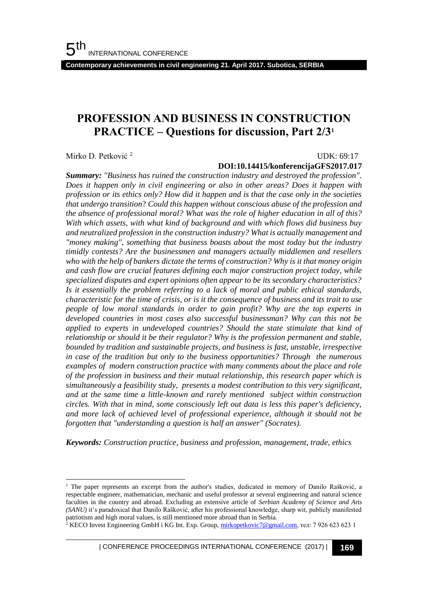**Contemporary achievements in civil engineering 21. April 2017. Subotica, SERBIA**

## **PROFESSION AND BUSINESS IN CONSTRUCTION PRACTICE – Questions for discussion, Part 2/3<sup>1</sup>**

Mirko D. Petković <sup>2</sup>

l

UDK: 69:17

### **DOI:10.14415/konferencijaGFS2017.017**

*Summary: "Business has ruined the construction industry and destroyed the profession". Does it happen only in civil engineering or also in other areas? Does it happen with profession or its ethics only? How did it happen and is that the case only in the societies that undergo transition*? *Could this happen without conscious abuse of the profession and the absence of professional moral? What was the role of higher education in all of this? With which assets, with what kind of background and with which flows did business buy and neutralized profession in the construction industry? What is actually management and "money making", something that business boasts about the most today but the industry timidly contests? Are the businessmen and managers actually middlemen and resellers who with the help of bankers dictate the terms of construction? Why is it that money origin and cash flow are crucial features defining each major construction project today, while specialized disputes and expert opinions often appear to be its secondary characteristics? Is it essentially the problem referring to a lack of moral and public ethical standards, characteristic for the time of crisis, or is it the consequence of business and its trait to use people of low moral standards in order to gain profit? Why are the top experts in developed countries in most cases also successful businessman? Why can this not be applied to experts in undeveloped countries? Should the state stimulate that kind of relationship or should it be their regulator? Why is the profession permanent and stable, bounded by tradition and sustainable projects, and business is fast, unstable, irrespective in case of the tradition but only to the business opportunities? Through the numerous examples of modern construction practice with many comments about the place and role of the profession in business and their mutual relationship, this research paper which is simultaneously a feasibility study, presents a modest contribution to this very significant, and at the same time a little-known and rarely mentioned subject within construction circles. With that in mind, some consciously left out data is less this paper's deficiency, and more lack of achieved level of professional experience, although it should not be forgotten that "understanding a question is half an answer" (Socrates).* 

*Keywords: Construction practice, business and profession, management, trade, ethics*

<sup>&</sup>lt;sup>1</sup> The paper represents an excerpt from the author's studies, dedicated in memory of Danilo Rašković, a respectable engineer, mathematician, mechanic and useful professor at several engineering and natural science faculties in the country and abroad. Excluding an extensive article of *Serbian Academy of Science and A*rts *(SANU)* it's paradoxical that Danilo Rašković, after his professional knowledge, sharp wit, publicly manifested patriotism and high moral values, is still mentioned more abroad than in Serbia.

<sup>&</sup>lt;sup>2</sup> KECO Invest Engineering GmbH i KG Int. Exp. Group[, mirkopetkovic7@gmail.com,](mailto:mirkopetkovic7@gmail.com) тел: 7 926 623 623 1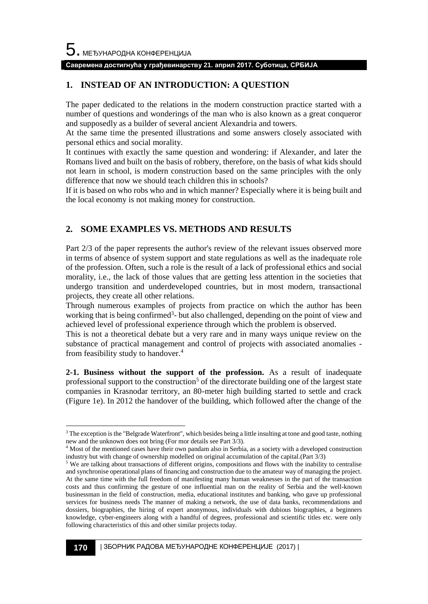l

### **Савремена достигнућа у грађевинарству 21. април 2017. Суботица, СРБИЈА**

## **1. INSTEAD OF AN INTRODUCTION: A QUESTION**

The paper dedicated to the relations in the modern construction practice started with a number of questions and wonderings of the man who is also known as a great conqueror and supposedly as a builder of several ancient Alexandria and towers.

At the same time the presented illustrations and some answers closely associated with personal ethics and social morality.

It continues with exactly the same question and wondering: if Alexander, and later the Romans lived and built on the basis of robbery, therefore, on the basis of what kids should not learn in school, is modern construction based on the same principles with the only difference that now we should teach children this in schools?

If it is based on who robs who and in which manner? Especially where it is being built and the local economy is not making money for construction.

## **2. SOME EXAMPLES VS. METHODS AND RESULTS**

Part 2/3 of the paper represents the author's review of the relevant issues observed more in terms of absence of system support and state regulations as well as the inadequate role of the profession. Often, such a role is the result of a lack of professional ethics and social morality, i.e., the lack of those values that are getting less attention in the societies that undergo transition and underdeveloped countries, but in most modern, transactional projects, they create all other relations.

Through numerous examples of projects from practice on which the author has been working that is being confirmed<sup>3</sup>- but also challenged, depending on the point of view and achieved level of professional experience through which the problem is observed.

This is not a theoretical debate but a very rare and in many ways unique review on the substance of practical management and control of projects with associated anomalies from feasibility study to handover.<sup>4</sup>

**2-1. Business without the support of the profession.** As a result of inadequate professional support to the construction<sup>5</sup> of the directorate building one of the largest state companies in Krasnodar territory, an 80-meter high building started to settle and crack (Figure 1e). In 2012 the handover of the building, which followed after the change of the

<sup>&</sup>lt;sup>3</sup> The exception is the "Belgrade Waterfront", which besides being a little insulting at tone and good taste, nothing new and the unknown does not bring (For mor details see Part 3/3).

<sup>4</sup> Most of the mentioned cases have their own pandam also in Serbia, as a society with a developed construction industry but with change of ownership modelled on original accumulation of the capital.(Part 3/3)

<sup>5</sup> We are talking about transactions of different origins, compositions and flows with the inability to centralise and synchronise operational plans of financing and construction due to the amateur way of managing the project. At the same time with the full freedom of manifesting many human weaknesses in the part of the transaction costs and thus confirming the gesture of one influential man on the reality of Serbia and the well-known businessman in the field of construction, media, educational institutes and banking, who gave up professional services for business needs The manner of making a network, the use of data banks, recommendations and dossiers, biographies, the hiring of expert anonymous, individuals with dubious biographies, a beginners knowledge, cyber-engineers along with a handful of degrees, professional and scientific titles etc. were only following characteristics of this and other similar projects today.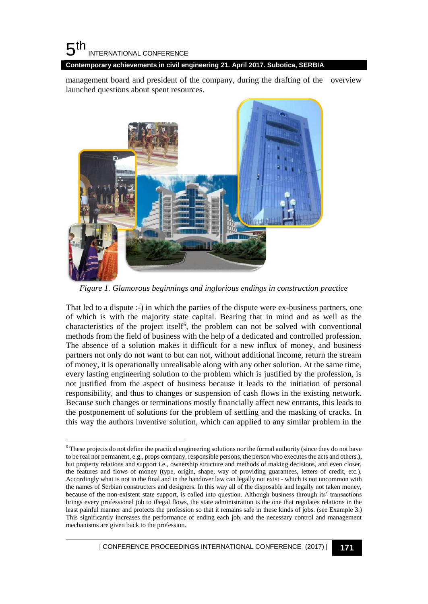#### 5 th INTERNATIONAL CONFERENCE

l

**Contemporary achievements in civil engineering 21. April 2017. Subotica, SERBIA**

management board and president of the company, during the drafting of the overview launched questions about spent resources.



*Figure 1. Glamorous beginnings and inglorious endings in construction practice*

That led to a dispute :-) in which the parties of the dispute were ex-business partners, one of which is with the majority state capital. Bearing that in mind and as well as the characteristics of the project itself<sup>6</sup>, the problem can not be solved with conventional methods from the field of business with the help of a dedicated and controlled profession. The absence of a solution makes it difficult for a new influx of money, and business partners not only do not want to but can not, without additional income, return the stream of money, it is operationally unrealisable along with any other solution. At the same time, every lasting engineering solution to the problem which is justified by the profession, is not justified from the aspect of business because it leads to the initiation of personal responsibility, and thus to changes or suspension of cash flows in the existing network. Because such changes or terminations mostly financially affect new entrants, this leads to the postponement of solutions for the problem of settling and the masking of cracks. In this way the authors inventive solution, which can applied to any similar problem in the

<sup>6</sup> These projects do not define the practical engineering solutions nor the formal authority (since they do not have to be real nor permanent, e.g., props company, responsible persons, the person who executes the acts and others.), but property relations and support i.e., ownership structure and methods of making decisions, and even closer, the features and flows of money (type, origin, shape, way of providing guarantees, letters of credit, etc.). Accordingly what is not in the final and in the handover law can legally not exist - which is not uncommon with the names of Serbian constructers and designers. In this way all of the disposable and legally not taken money, because of the non-existent state support, is called into question. Although business through its' transactions brings every professional job to illegal flows, the state administration is the one that regulates relations in the least painful manner and protects the profession so that it remains safe in these kinds of jobs. (see Example 3.) This significantly increases the performance of ending each job, and the necessary control and management mechanisms are given back to the profession.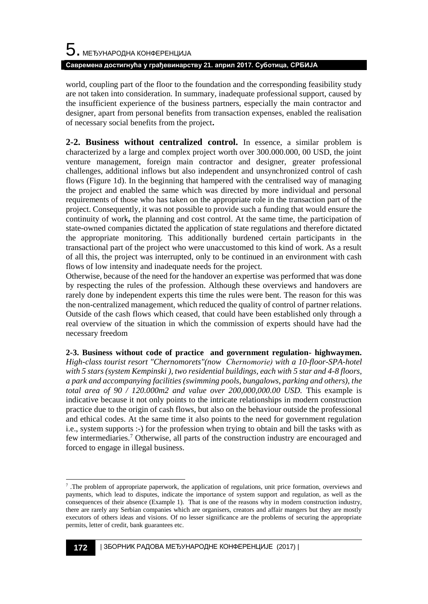world, coupling part of the floor to the foundation and the corresponding feasibility study are not taken into consideration. In summary, inadequate professional support, caused by the insufficient experience of the business partners, especially the main contractor and designer, apart from personal benefits from transaction expenses, enabled the realisation of necessary social benefits from the project**.** 

**2-2. Business without centralized control.** In essence, a similar problem is characterized by a large and complex project worth over 300.000.000, 00 USD, the joint venture management, foreign main contractor and designer, greater professional challenges, additional inflows but also independent and unsynchronized control of cash flows (Figure 1d). In the beginning that hampered with the centralised way of managing the project and enabled the same which was directed by more individual and personal requirements of those who has taken on the appropriate role in the transaction part of the project. Consequently, it was not possible to provide such a funding that would ensure the continuity of work**,** the planning and cost control. At the same time, the participation of state-owned companies dictated the application of state regulations and therefore dictated the appropriate monitoring. This additionally burdened certain participants in the transactional part of the project who were unaccustomed to this kind of work. As a result of all this, the project was interrupted, only to be continued in an environment with cash flows of low intensity and inadequate needs for the project.

Otherwise, because of the need for the handover an expertise was performed that was done by respecting the rules of the profession. Although these overviews and handovers are rarely done by independent experts this time the rules were bent. The reason for this was the non-centralized management, which reduced the quality of control of partner relations. Outside of the cash flows which ceased, that could have been established only through a real overview of the situation in which the commission of experts should have had the necessary freedom

**2-3. Business without code of practice and government regulation- highwaymen.**  *High-class tourist resort "Chernomorets"(now Chernomoriе) with a 10-floor-SPA-hotel with 5 stars (system Kempinski ), two residential buildings, each with 5 star and 4-8 floors, a park and accompanying facilities (swimming pools, bungalows, parking and others), the total area of 90 / 120.000m2 and value over 200,000,000.00 USD.* This example is indicative because it not only points to the intricate relationships in modern construction practice due to the origin of cash flows, but also on the behaviour outside the professional and ethical codes. At the same time it also points to the need for government regulation i.e., system supports :-) for the profession when trying to obtain and bill the tasks with as few intermediaries.<sup>7</sup> Otherwise, all parts of the construction industry are encouraged and forced to engage in illegal business.

l The problem of appropriate paperwork, the application of regulations, unit price formation, overviews and payments, which lead to disputes, indicate the importance of system support and regulation, as well as the consequences of their absence (Example 1). That is one of the reasons why in modern construction industry, there are rarely any Serbian companies which are organisers, creators and affair mangers but they are mostly executors of others ideas and visions. Of no lesser significance are the problems of securing the appropriate permits, letter of credit, bank guarantees etc.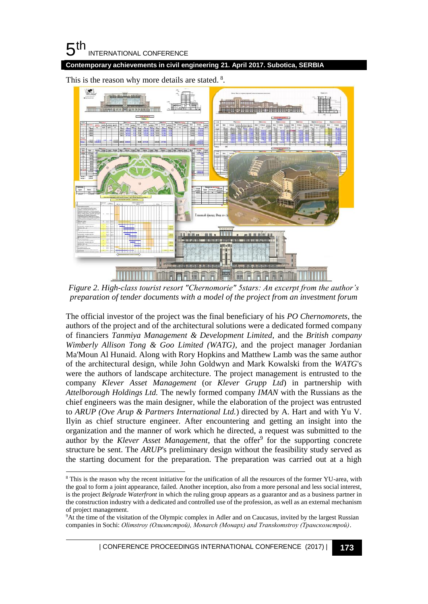#### 5 th INTERNATIONAL CONFERENCE

l

**Contemporary achievements in civil engineering 21. April 2017. Subotica, SERBIA**



This is the reason why more details are stated.<sup>8</sup>.

*Figure 2. High-class tourist resort "Chernomorie" 5stars: An excerpt from the author's preparation of tender documents with a model of the project from an investment forum*

The official investor of the project was the final beneficiary of his *PO Chernomorets*, the authors of the project and of the architectural solutions were a dedicated formed company of financiers *Tanmiya Management & Development Limited,* and the *British company Wimberly Allison Tong & Goo Limited (WATG)*, and the project manager Jordanian Ma'Moun Al Hunaid. Along with Rory Hopkins and Matthew Lamb was the same author of the architectural design, while John Goldwyn and Mark Kowalski from the *WATG*'s were the authors of landscape architecture. The project management is entrusted to the company *Klever Asset Management* (or *Klever Grupp Ltd*) in partnership with *Attelborough Holdings Ltd.* The newly formed company *IMAN* with the Russians as the chief engineers was the main designer, while the elaboration of the project was entrusted to *ARUP (Ove Arup & Partners International Ltd.*) directed by A. Hart and with Yu V. Ilyin as chief structure engineer. After encountering and getting an insight into the organization and the manner of work which he directed, a request was submitted to the author by the *Klever Asset Management*, that the offer<sup>9</sup> for the supporting concrete structure be sent. The *ARUP*'s preliminary design without the feasibility study served as the starting document for the preparation. The preparation was carried out at a high

<sup>8</sup> This is the reason why the recent initiative for the unification of all the resources of the former YU-area, with the goal to form a joint appearance, failed. Another inception, also from a more personal and less social interest, is the project *Belgrade Waterfront* in which the ruling group appears as a guarantor and as a business partner in the construction industry with a dedicated and controlled use of the profession, as well as an external mechanism of project management.

<sup>9</sup>At the time of the visitation of the Olympic complex in Adler and on Caucasus, invited by the largest Russian companies in Sochi: *Olimstroy (Олимпстрой), Monarch (Монарх) and Transkomstroy (Транскомстрой)*.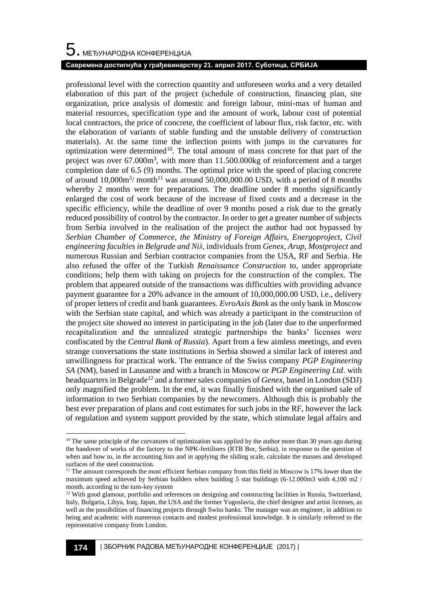# $\mathbf 5$ . међународна конференција **Савремена достигнућа у грађевинарству 21. април 2017. Суботица, СРБИЈА**

professional level with the correction quantity and unforeseen works and a very detailed elaboration of this part of the project (schedule of construction, financing plan, site organization, price analysis of domestic and foreign labour, mini-max of human and material resources, specification type and the amount of work, labour cost of potential local contractors, the price of concrete, the coefficient of labour flux, risk factor, etc. with the elaboration of variants of stable funding and the unstable delivery of construction materials). At the same time the inflection points with jumps in the curvatures for optimization were determined<sup>10</sup>. The total amount of mass concrete for that part of the project was over  $67.000m^3$ , with more than  $11.500.000kg$  of reinforcement and a target completion date of 6.5 (9) months. The optimal price with the speed of placing concrete of around  $10,000\,\text{m}^3/\text{month}^{11}$  was around  $50,000,000.00$  USD, with a period of 8 months whereby 2 months were for preparations. The deadline under 8 months significantly enlarged the cost of work because of the increase of fixed costs and a decrease in the specific efficiency, while the deadline of over 9 months posed a risk due to the greatly reduced possibility of control by the contractor. In order to get a greater number of subjects from Serbia involved in the realisation of the project the author had not bypassed by *Serbian Chamber of Commerce, the Ministry of Foreign Affairs, Energoproject, Civil engineering faculties in Belgrade and Niš*, individuals from *Genex, Arup, Mostproject* and numerous Russian and Serbian contractor companies from the USA, RF and Serbia. He also refused the offer of the Turkish *Renaissance Construction* to, under appropriate conditions; help them with taking on projects for the construction of the complex. The problem that appeared outside of the transactions was difficulties with providing advance payment guarantee for a 20% advance in the amount of 10,000,000.00 USD, i.e., delivery of proper letters of credit and bank guarantees. *EvroAxis Bank* as the only bank in Moscow with the Serbian state capital, and which was already a participant in the construction of the project site showed no interest in participating in the job (later due to the unperformed recapitalization and the unrealized strategic partnerships the banks' licenses were confiscated by the *Central Bank of Russia*). Apart from a few aimless meetings, and even strange conversations the state institutions in Serbia showed a similar lack of interest and unwillingness for practical work. The entrance of the Swiss company *PGP Engineering SA* (NM), based in Lausanne and with a branch in Moscow or *PGP Engineering Ltd*. with headquarters in Belgrade<sup>12</sup> and a former sales companies of *Genex*, based in London (SDJ) only magnified the problem. In the end, it was finally finished with the organised sale of information to two Serbian companies by the newcomers. Although this is probably the best ever preparation of plans and cost estimates for such jobs in the RF, however the lack of regulation and system support provided by the state, which stimulate legal affairs and

l

 $10$  The same principle of the curvatures of optimization was applied by the author more than 30 years ago during the handover of works of the factory to the NPK-fertilisers (RTB Bor, Serbia), in response to the question of when and how to, in the accounting lists and in applying the sliding scale, calculate the masses and developed surfaces of the steel construction.

<sup>&</sup>lt;sup>11</sup> The amount corresponds the most efficient Serbian company from this field in Moscow is 17% lower than the maximum speed achieved by Serbian builders when building 5 star buildings (6-12.000m3 with 4,100 m2 / month, according to the turn-key system

<sup>&</sup>lt;sup>12</sup> With good glamour, portfolio and references on designing and constructing facilities in Russia, Switzerland, Italy, Bulgaria, Libya, Iraq, Japan, the USA and the former Yugoslavia, the chief designer and artist licenses, as well as the possibilities of financing projects through Swiss banks. The manager was an engineer, in addition to being and academic with numerous contacts and modest professional knowledge. It is similarly referred to the representative company from London.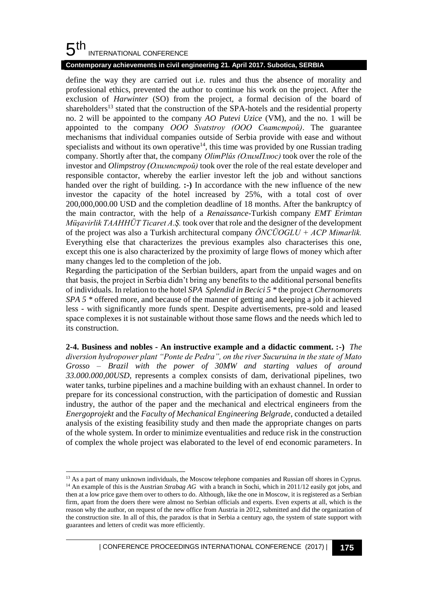#### 5 th INTERNATIONAL CONFERENCE

l

## **Contemporary achievements in civil engineering 21. April 2017. Subotica, SERBIA**

define the way they are carried out i.e. rules and thus the absence of morality and professional ethics, prevented the author to continue his work on the project. After the exclusion of *Harwinter* (SO) from the project, a formal decision of the board of shareholders<sup>13</sup> stated that the construction of the SPA-hotels and the residential property no. 2 will be appointed to the company *AO Putevi Uzice* (VM), and the no. 1 will be appointed to the company *OOO Svatstroy (OOO Сватстрой)*. The guarantee mechanisms that individual companies outside of Serbia provide with ease and without specialists and without its own operative<sup>14</sup>, this time was provided by one Russian trading company. Shortly after that, the company *OlimPlûs (ОлимПлюс)* took over the role of the investor and *Olimpstroy (Олимпстрой)* took over the role of the real estate developer and responsible contactor, whereby the earlier investor left the job and without sanctions handed over the right of building. **:-**) In accordance with the new influence of the new investor the capacity of the hotel increased by 25%, with a total cost of over 200,000,000.00 USD and the completion deadline of 18 months. After the bankruptcy of the main contractor, with the help of a *Renaissance*-Turkish company *EMT Erimtan Müşavirlik TAAHHÜT Ticaret A.Ş.* took over that role and the designer of the development of the project was also a Turkish architectural company *ÖNCÜOGLU + ACP Mimarlik.* Everything else that characterizes the previous examples also characterises this one, except this one is also characterized by the proximity of large flows of money which after many changes led to the completion of the job.

Regarding the participation of the Serbian builders, apart from the unpaid wages and on that basis, the project in Serbia didn't bring any benefits to the additional personal benefits of individuals. In relation to the hotel *SPA Splendid in Becici 5 \** the project *Chernomorets SPA 5 \** offered more, and because of the manner of getting and keeping a job it achieved less - with significantly more funds spent. Despite advertisements, pre-sold and leased space complexes it is not sustainable without those same flows and the needs which led to its construction.

**2-4. Business and nobles - An instructive example and a didactic comment. :-)** *The diversion hydropower plant "Ponte de Pedra", on the river Sucuruina in the state of Mato Grosso – Brazil with the power of 30MW and starting values of around 33.000.000,00USD,* represents a complex consists of dam, derivational pipelines, two water tanks, turbine pipelines and a machine building with an exhaust channel. In order to prepare for its concessional construction, with the participation of domestic and Russian industry, the author of the paper and the mechanical and electrical engineers from the *Energoprojekt* and the *Faculty of Mechanical Engineering Belgrade*, conducted a detailed analysis of the existing feasibility study and then made the appropriate changes on parts of the whole system. In order to minimize eventualities and reduce risk in the construction of complex the whole project was elaborated to the level of end economic parameters. In

<sup>&</sup>lt;sup>13</sup> As a part of many unknown individuals, the Moscow telephone companies and Russian off shores in Cyprus. <sup>14</sup> An example of this is the Austrian *Strabag AG* with a branch in Sochi, which in 2011/12 easily got jobs, and then at a low price gave them over to others to do. Although, like the one in Moscow, it is registered as a Serbian firm, apart from the doers there were almost no Serbian officials and experts. Even experts at all, which is the reason why the author, on request of the new office from Austria in 2012, submitted and did the organization of the construction site. In all of this, the paradox is that in Serbia a century ago, the system of state support with guarantees and letters of credit was more efficiently.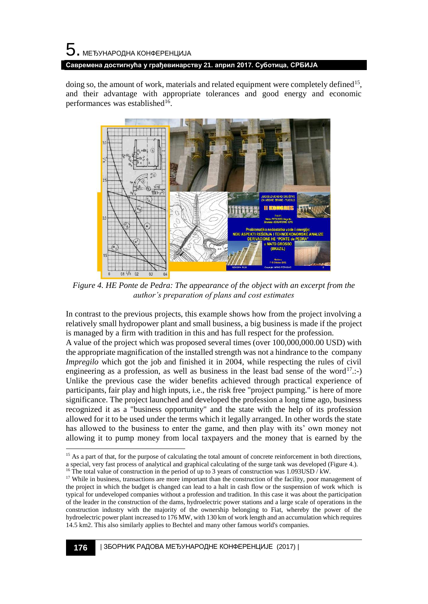doing so, the amount of work, materials and related equipment were completely defined<sup>15</sup>, and their advantage with appropriate tolerances and good energy and economic performances was established<sup>16</sup>.



*Figure 4. HE Ponte de Pedra: The appearance of the object with an excerpt from the author's preparation of plans and cost estimates*

In contrast to the previous projects, this example shows how from the project involving a relatively small hydropower plant and small business, a big business is made if the project is managed by a firm with tradition in this and has full respect for the profession.

A value of the project which was proposed several times (over 100,000,000.00 USD) with the appropriate magnification of the installed strength was not a hindrance to the company *Impregilo* which got the job and finished it in 2004, while respecting the rules of civil engineering as a profession, as well as business in the least bad sense of the word<sup>17</sup>.:-Unlike the previous case the wider benefits achieved through practical experience of participants, fair play and high inputs, i.e., the risk free "project pumping." is here of more significance. The project launched and developed the profession a long time ago, business recognized it as a "business opportunity" and the state with the help of its profession allowed for it to be used under the terms which it legally arranged. In other words the state has allowed to the business to enter the game, and then play with its' own money not allowing it to pump money from local taxpayers and the money that is earned by the

l

<sup>&</sup>lt;sup>15</sup> As a part of that, for the purpose of calculating the total amount of concrete reinforcement in both directions, a special, very fast process of analytical and graphical calculating of the surge tank was developed (Figure 4.). <sup>16</sup> The total value of construction in the period of up to 3 years of construction was 1.093USD  $\hat{/}$  kW.

<sup>&</sup>lt;sup>17</sup> While in business, transactions are more important than the construction of the facility, poor management of the project in which the budget is changed can lead to a halt in cash flow or the suspension of work which is typical for undeveloped companies without a profession and tradition. In this case it was about the participation of the leader in the construction of the dams, hydroelectric power stations and a large scale of operations in the construction industry with the majority of the ownership belonging to Fiat, whereby the power of the hydroelectric power plant increased to 176 MW, with 130 km of work length and an accumulation which requires 14.5 km2. This also similarly applies to Bechtel and many other famous world's companies.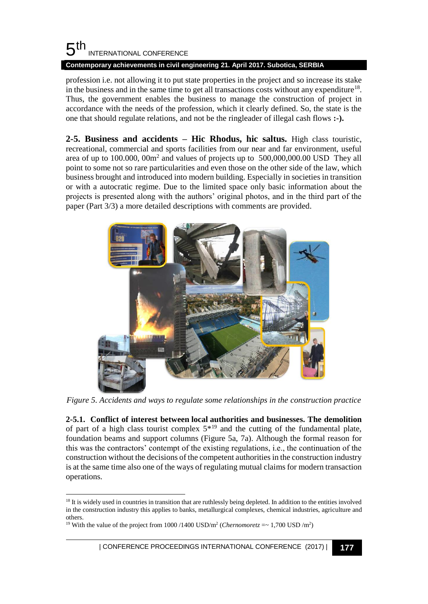#### 5 th INTERNATIONAL CONFERENCE **Contemporary achievements in civil engineering 21. April 2017. Subotica, SERBIA**

profession i.e. not allowing it to put state properties in the project and so increase its stake in the business and in the same time to get all transactions costs without any expenditure<sup>18</sup>. Thus, the government enables the business to manage the construction of project in accordance with the needs of the profession, which it clearly defined. So, the state is the one that should regulate relations, and not be the ringleader of illegal cash flows **:-).**

**2-5. Business and accidents – Hic Rhodus, hic saltus.** High class touristic, recreational, commercial and sports facilities from our near and far environment, useful area of up to  $100.000$ ,  $00m^2$  and values of projects up to  $500,000,000.00$  USD They all point to some not so rare particularities and even those on the other side of the law, which business brought and introduced into modern building. Especially in societies in transition or with a autocratic regime. Due to the limited space only basic information about the projects is presented along with the authors' original photos, and in the third part of the paper (Part 3/3) a more detailed descriptions with comments are provided.



*Figure 5. Accidents and ways to regulate some relationships in the construction practice*

**2-5.1. Conflict of interest between local authorities and businesses. The demolition** of part of a high class tourist complex  $5^{*19}$  and the cutting of the fundamental plate, foundation beams and support columns (Figure 5a, 7a). Although the formal reason for this was the contractors' contempt of the existing regulations, i.e., the continuation of the construction without the decisions of the competent authorities in the construction industry is at the same time also one of the ways of regulating mutual claims for modern transaction operations.

l

| CONFERENCE PROCEEDINGS INTERNATIONAL CONFERENCE (2017) <sup>|</sup>**177**

<sup>&</sup>lt;sup>18</sup> It is widely used in countries in transition that are ruthlessly being depleted. In addition to the entities involved in the construction industry this applies to banks, metallurgical complexes, chemical industries, agriculture and others.

<sup>&</sup>lt;sup>19</sup> With the value of the project from 1000/1400 USD/m<sup>2</sup> (*Chernomoretz* =  $\sim 1,700$  USD/m<sup>2</sup>)